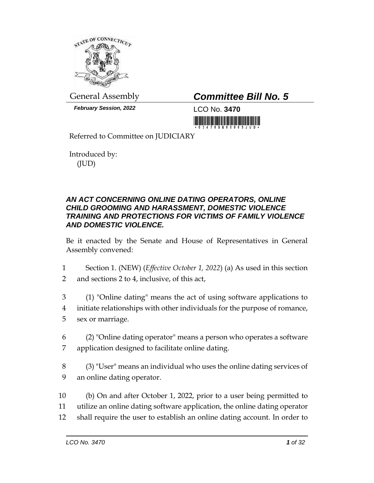

*February Session, 2022* LCO No. **3470**

# General Assembly *Committee Bill No. 5*

Referred to Committee on JUDICIARY

Introduced by: (JUD)

### *AN ACT CONCERNING ONLINE DATING OPERATORS, ONLINE CHILD GROOMING AND HARASSMENT, DOMESTIC VIOLENCE TRAINING AND PROTECTIONS FOR VICTIMS OF FAMILY VIOLENCE AND DOMESTIC VIOLENCE.*

Be it enacted by the Senate and House of Representatives in General Assembly convened:

- 1 Section 1. (NEW) (*Effective October 1, 2022*) (a) As used in this section 2 and sections 2 to 4, inclusive, of this act,
- 3 (1) "Online dating" means the act of using software applications to 4 initiate relationships with other individuals for the purpose of romance, 5 sex or marriage.
- 6 (2) "Online dating operator" means a person who operates a software 7 application designed to facilitate online dating.
- 8 (3) "User" means an individual who uses the online dating services of 9 an online dating operator.
- 10 (b) On and after October 1, 2022, prior to a user being permitted to 11 utilize an online dating software application, the online dating operator 12 shall require the user to establish an online dating account. In order to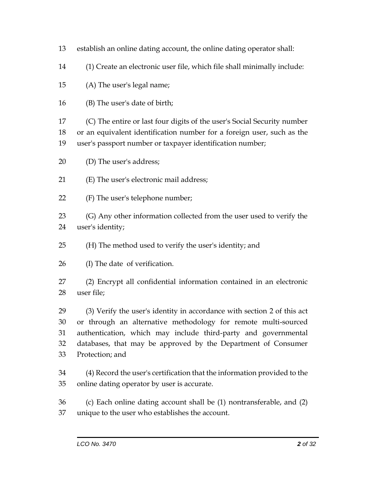- establish an online dating account, the online dating operator shall:
- (1) Create an electronic user file, which file shall minimally include:

(A) The user's legal name;

(B) The user's date of birth;

 (C) The entire or last four digits of the user's Social Security number or an equivalent identification number for a foreign user, such as the user's passport number or taxpayer identification number;

(D) The user's address;

(E) The user's electronic mail address;

(F) The user's telephone number;

 (G) Any other information collected from the user used to verify the user's identity;

- (H) The method used to verify the user's identity; and
- (I) The date of verification.

 (2) Encrypt all confidential information contained in an electronic user file;

 (3) Verify the user's identity in accordance with section 2 of this act or through an alternative methodology for remote multi-sourced authentication, which may include third-party and governmental databases, that may be approved by the Department of Consumer Protection; and

 (4) Record the user's certification that the information provided to the online dating operator by user is accurate.

 (c) Each online dating account shall be (1) nontransferable, and (2) unique to the user who establishes the account.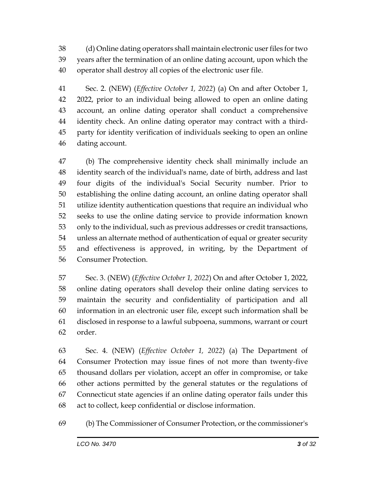(d) Online dating operators shall maintain electronic user files for two years after the termination of an online dating account, upon which the operator shall destroy all copies of the electronic user file.

 Sec. 2. (NEW) (*Effective October 1, 2022*) (a) On and after October 1, 2022, prior to an individual being allowed to open an online dating account, an online dating operator shall conduct a comprehensive identity check. An online dating operator may contract with a third- party for identity verification of individuals seeking to open an online dating account.

 (b) The comprehensive identity check shall minimally include an identity search of the individual's name, date of birth, address and last four digits of the individual's Social Security number. Prior to establishing the online dating account, an online dating operator shall utilize identity authentication questions that require an individual who seeks to use the online dating service to provide information known only to the individual, such as previous addresses or credit transactions, unless an alternate method of authentication of equal or greater security and effectiveness is approved, in writing, by the Department of Consumer Protection.

 Sec. 3. (NEW) (*Effective October 1, 2022*) On and after October 1, 2022, online dating operators shall develop their online dating services to maintain the security and confidentiality of participation and all information in an electronic user file, except such information shall be disclosed in response to a lawful subpoena, summons, warrant or court order.

 Sec. 4. (NEW) (*Effective October 1, 2022*) (a) The Department of Consumer Protection may issue fines of not more than twenty-five thousand dollars per violation, accept an offer in compromise, or take other actions permitted by the general statutes or the regulations of Connecticut state agencies if an online dating operator fails under this act to collect, keep confidential or disclose information.

(b) The Commissioner of Consumer Protection, or the commissioner's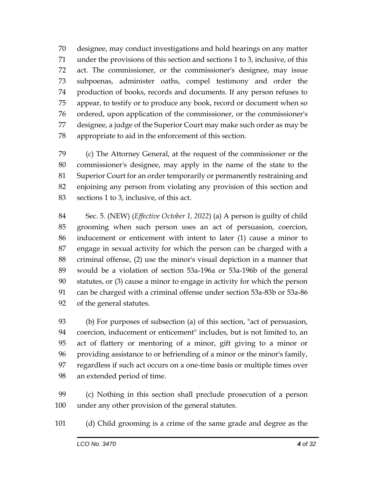designee, may conduct investigations and hold hearings on any matter under the provisions of this section and sections 1 to 3, inclusive, of this act. The commissioner, or the commissioner's designee, may issue subpoenas, administer oaths, compel testimony and order the production of books, records and documents. If any person refuses to appear, to testify or to produce any book, record or document when so ordered, upon application of the commissioner, or the commissioner's designee, a judge of the Superior Court may make such order as may be appropriate to aid in the enforcement of this section.

 (c) The Attorney General, at the request of the commissioner or the commissioner's designee, may apply in the name of the state to the Superior Court for an order temporarily or permanently restraining and enjoining any person from violating any provision of this section and sections 1 to 3, inclusive, of this act.

 Sec. 5. (NEW) (*Effective October 1, 2022*) (a) A person is guilty of child grooming when such person uses an act of persuasion, coercion, inducement or enticement with intent to later (1) cause a minor to engage in sexual activity for which the person can be charged with a criminal offense, (2) use the minor's visual depiction in a manner that would be a violation of section 53a-196a or 53a-196b of the general statutes, or (3) cause a minor to engage in activity for which the person can be charged with a criminal offense under section 53a-83b or 53a-86 of the general statutes.

 (b) For purposes of subsection (a) of this section, "act of persuasion, coercion, inducement or enticement" includes, but is not limited to, an act of flattery or mentoring of a minor, gift giving to a minor or providing assistance to or befriending of a minor or the minor's family, regardless if such act occurs on a one-time basis or multiple times over an extended period of time.

 (c) Nothing in this section shall preclude prosecution of a person under any other provision of the general statutes.

(d) Child grooming is a crime of the same grade and degree as the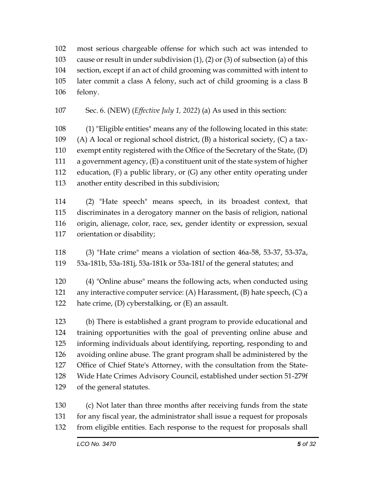most serious chargeable offense for which such act was intended to cause or result in under subdivision (1), (2) or (3) of subsection (a) of this section, except if an act of child grooming was committed with intent to later commit a class A felony, such act of child grooming is a class B felony.

Sec. 6. (NEW) (*Effective July 1, 2022*) (a) As used in this section:

 (1) "Eligible entities" means any of the following located in this state: (A) A local or regional school district, (B) a historical society, (C) a tax- exempt entity registered with the Office of the Secretary of the State, (D) a government agency, (E) a constituent unit of the state system of higher education, (F) a public library, or (G) any other entity operating under another entity described in this subdivision;

 (2) "Hate speech" means speech, in its broadest context, that discriminates in a derogatory manner on the basis of religion, national origin, alienage, color, race, sex, gender identity or expression, sexual orientation or disability;

 (3) "Hate crime" means a violation of section 46a-58, 53-37, 53-37a, 53a-181b, 53a-181j, 53a-181k or 53a-181*l* of the general statutes; and

 (4) "Online abuse" means the following acts, when conducted using any interactive computer service: (A) Harassment, (B) hate speech, (C) a 122 hate crime, (D) cyberstalking, or (E) an assault.

 (b) There is established a grant program to provide educational and training opportunities with the goal of preventing online abuse and informing individuals about identifying, reporting, responding to and avoiding online abuse. The grant program shall be administered by the Office of Chief State's Attorney, with the consultation from the State- Wide Hate Crimes Advisory Council, established under section 51-279f of the general statutes.

 (c) Not later than three months after receiving funds from the state for any fiscal year, the administrator shall issue a request for proposals from eligible entities. Each response to the request for proposals shall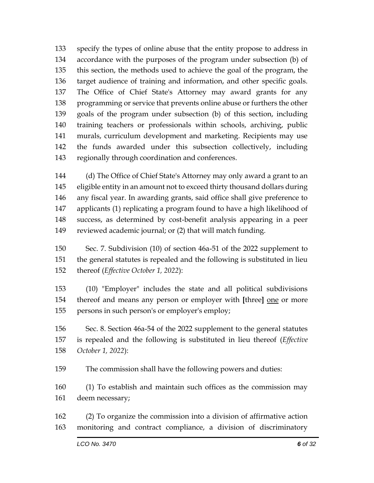specify the types of online abuse that the entity propose to address in accordance with the purposes of the program under subsection (b) of this section, the methods used to achieve the goal of the program, the target audience of training and information, and other specific goals. The Office of Chief State's Attorney may award grants for any programming or service that prevents online abuse or furthers the other goals of the program under subsection (b) of this section, including training teachers or professionals within schools, archiving, public murals, curriculum development and marketing. Recipients may use the funds awarded under this subsection collectively, including regionally through coordination and conferences.

 (d) The Office of Chief State's Attorney may only award a grant to an eligible entity in an amount not to exceed thirty thousand dollars during any fiscal year. In awarding grants, said office shall give preference to applicants (1) replicating a program found to have a high likelihood of success, as determined by cost-benefit analysis appearing in a peer reviewed academic journal; or (2) that will match funding.

 Sec. 7. Subdivision (10) of section 46a-51 of the 2022 supplement to the general statutes is repealed and the following is substituted in lieu thereof (*Effective October 1, 2022*):

 (10) "Employer" includes the state and all political subdivisions 154 thereof and means any person or employer with [three] <u>one</u> or more persons in such person's or employer's employ;

 Sec. 8. Section 46a-54 of the 2022 supplement to the general statutes is repealed and the following is substituted in lieu thereof (*Effective October 1, 2022*):

The commission shall have the following powers and duties:

 (1) To establish and maintain such offices as the commission may deem necessary;

 (2) To organize the commission into a division of affirmative action monitoring and contract compliance, a division of discriminatory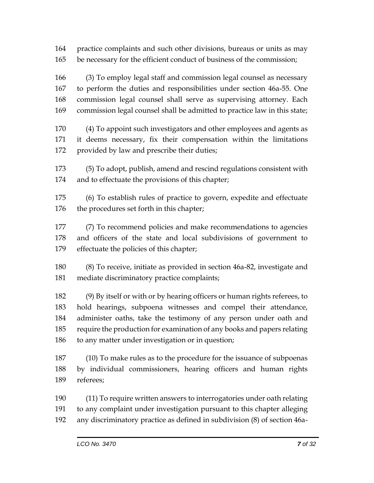practice complaints and such other divisions, bureaus or units as may be necessary for the efficient conduct of business of the commission;

 (3) To employ legal staff and commission legal counsel as necessary to perform the duties and responsibilities under section 46a-55. One commission legal counsel shall serve as supervising attorney. Each commission legal counsel shall be admitted to practice law in this state;

 (4) To appoint such investigators and other employees and agents as it deems necessary, fix their compensation within the limitations provided by law and prescribe their duties;

 (5) To adopt, publish, amend and rescind regulations consistent with and to effectuate the provisions of this chapter;

 (6) To establish rules of practice to govern, expedite and effectuate the procedures set forth in this chapter;

 (7) To recommend policies and make recommendations to agencies and officers of the state and local subdivisions of government to effectuate the policies of this chapter;

 (8) To receive, initiate as provided in section 46a-82, investigate and mediate discriminatory practice complaints;

 (9) By itself or with or by hearing officers or human rights referees, to hold hearings, subpoena witnesses and compel their attendance, administer oaths, take the testimony of any person under oath and require the production for examination of any books and papers relating to any matter under investigation or in question;

 (10) To make rules as to the procedure for the issuance of subpoenas by individual commissioners, hearing officers and human rights referees;

 (11) To require written answers to interrogatories under oath relating to any complaint under investigation pursuant to this chapter alleging any discriminatory practice as defined in subdivision (8) of section 46a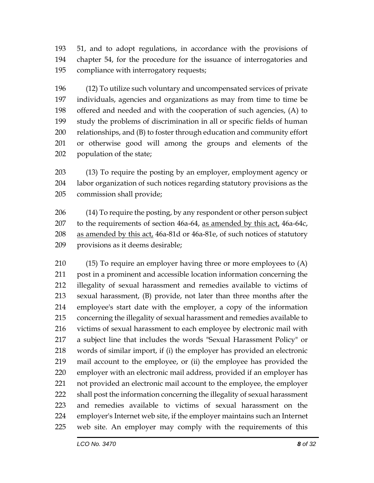51, and to adopt regulations, in accordance with the provisions of chapter 54, for the procedure for the issuance of interrogatories and compliance with interrogatory requests;

 (12) To utilize such voluntary and uncompensated services of private individuals, agencies and organizations as may from time to time be offered and needed and with the cooperation of such agencies, (A) to study the problems of discrimination in all or specific fields of human relationships, and (B) to foster through education and community effort or otherwise good will among the groups and elements of the population of the state;

 (13) To require the posting by an employer, employment agency or labor organization of such notices regarding statutory provisions as the commission shall provide;

 (14) To require the posting, by any respondent or other person subject 207 to the requirements of section 46a-64, as amended by this act, 46a-64c, 208 as amended by this act, 46a-81d or 46a-81e, of such notices of statutory provisions as it deems desirable;

 (15) To require an employer having three or more employees to (A) post in a prominent and accessible location information concerning the illegality of sexual harassment and remedies available to victims of sexual harassment, (B) provide, not later than three months after the employee's start date with the employer, a copy of the information concerning the illegality of sexual harassment and remedies available to victims of sexual harassment to each employee by electronic mail with a subject line that includes the words "Sexual Harassment Policy" or words of similar import, if (i) the employer has provided an electronic mail account to the employee, or (ii) the employee has provided the employer with an electronic mail address, provided if an employer has not provided an electronic mail account to the employee, the employer shall post the information concerning the illegality of sexual harassment and remedies available to victims of sexual harassment on the employer's Internet web site, if the employer maintains such an Internet web site. An employer may comply with the requirements of this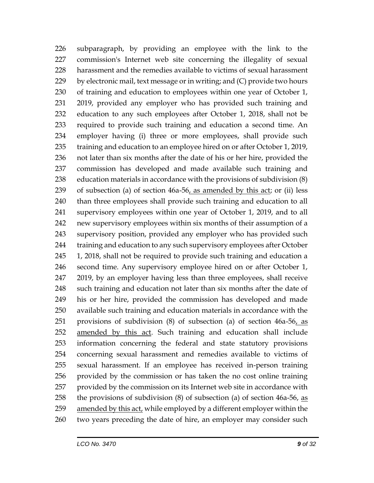subparagraph, by providing an employee with the link to the commission's Internet web site concerning the illegality of sexual harassment and the remedies available to victims of sexual harassment by electronic mail, text message or in writing; and (C) provide two hours of training and education to employees within one year of October 1, 2019, provided any employer who has provided such training and education to any such employees after October 1, 2018, shall not be required to provide such training and education a second time. An employer having (i) three or more employees, shall provide such 235 training and education to an employee hired on or after October 1, 2019, not later than six months after the date of his or her hire, provided the commission has developed and made available such training and education materials in accordance with the provisions of subdivision (8) 239 of subsection (a) of section  $46a-56$ , as amended by this act; or (ii) less than three employees shall provide such training and education to all supervisory employees within one year of October 1, 2019, and to all new supervisory employees within six months of their assumption of a supervisory position, provided any employer who has provided such 244 training and education to any such supervisory employees after October 1, 2018, shall not be required to provide such training and education a second time. Any supervisory employee hired on or after October 1, 2019, by an employer having less than three employees, shall receive such training and education not later than six months after the date of his or her hire, provided the commission has developed and made available such training and education materials in accordance with the 251 provisions of subdivision  $(8)$  of subsection  $(a)$  of section  $46a-56$ , as amended by this act. Such training and education shall include information concerning the federal and state statutory provisions concerning sexual harassment and remedies available to victims of sexual harassment. If an employee has received in-person training provided by the commission or has taken the no cost online training provided by the commission on its Internet web site in accordance with the provisions of subdivision (8) of subsection (a) of section 46a-56, as amended by this act, while employed by a different employer within the two years preceding the date of hire, an employer may consider such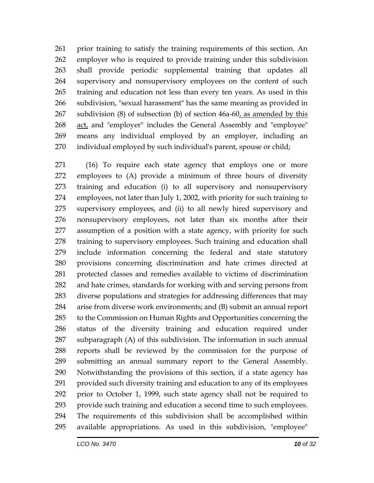prior training to satisfy the training requirements of this section. An employer who is required to provide training under this subdivision shall provide periodic supplemental training that updates all supervisory and nonsupervisory employees on the content of such training and education not less than every ten years. As used in this subdivision, "sexual harassment" has the same meaning as provided in subdivision (8) of subsection (b) of section 46a-60, as amended by this act, and "employer" includes the General Assembly and "employee" means any individual employed by an employer, including an individual employed by such individual's parent, spouse or child;

 (16) To require each state agency that employs one or more employees to (A) provide a minimum of three hours of diversity training and education (i) to all supervisory and nonsupervisory employees, not later than July 1, 2002, with priority for such training to supervisory employees, and (ii) to all newly hired supervisory and nonsupervisory employees, not later than six months after their assumption of a position with a state agency, with priority for such training to supervisory employees. Such training and education shall include information concerning the federal and state statutory provisions concerning discrimination and hate crimes directed at protected classes and remedies available to victims of discrimination and hate crimes, standards for working with and serving persons from diverse populations and strategies for addressing differences that may arise from diverse work environments; and (B) submit an annual report to the Commission on Human Rights and Opportunities concerning the status of the diversity training and education required under subparagraph (A) of this subdivision. The information in such annual reports shall be reviewed by the commission for the purpose of submitting an annual summary report to the General Assembly. Notwithstanding the provisions of this section, if a state agency has provided such diversity training and education to any of its employees prior to October 1, 1999, such state agency shall not be required to provide such training and education a second time to such employees. The requirements of this subdivision shall be accomplished within available appropriations. As used in this subdivision, "employee"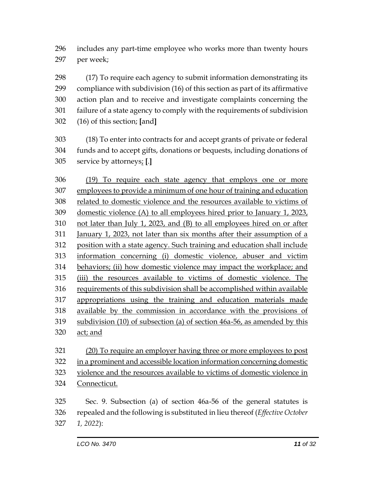includes any part-time employee who works more than twenty hours per week;

 (17) To require each agency to submit information demonstrating its compliance with subdivision (16) of this section as part of its affirmative action plan and to receive and investigate complaints concerning the failure of a state agency to comply with the requirements of subdivision (16) of this section; **[**and**]**

 (18) To enter into contracts for and accept grants of private or federal funds and to accept gifts, donations or bequests, including donations of service by attorneys; **[**.**]**

 (19) To require each state agency that employs one or more employees to provide a minimum of one hour of training and education related to domestic violence and the resources available to victims of 309 domestic violence (A) to all employees hired prior to January 1, 2023, not later than July 1, 2023, and (B) to all employees hired on or after January 1, 2023, not later than six months after their assumption of a position with a state agency. Such training and education shall include information concerning (i) domestic violence, abuser and victim behaviors; (ii) how domestic violence may impact the workplace; and (iii) the resources available to victims of domestic violence. The requirements of this subdivision shall be accomplished within available appropriations using the training and education materials made available by the commission in accordance with the provisions of subdivision (10) of subsection (a) of section 46a-56, as amended by this act; and

 (20) To require an employer having three or more employees to post in a prominent and accessible location information concerning domestic violence and the resources available to victims of domestic violence in Connecticut.

 Sec. 9. Subsection (a) of section 46a-56 of the general statutes is repealed and the following is substituted in lieu thereof (*Effective October 1, 2022*):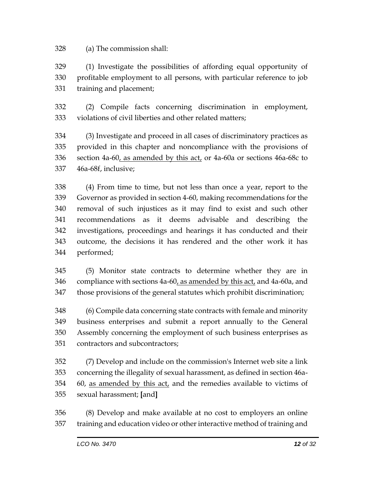(a) The commission shall:

 (1) Investigate the possibilities of affording equal opportunity of profitable employment to all persons, with particular reference to job training and placement;

 (2) Compile facts concerning discrimination in employment, violations of civil liberties and other related matters;

 (3) Investigate and proceed in all cases of discriminatory practices as provided in this chapter and noncompliance with the provisions of section 4a-60, as amended by this act, or 4a-60a or sections 46a-68c to 46a-68f, inclusive;

 (4) From time to time, but not less than once a year, report to the Governor as provided in section 4-60, making recommendations for the removal of such injustices as it may find to exist and such other recommendations as it deems advisable and describing the investigations, proceedings and hearings it has conducted and their outcome, the decisions it has rendered and the other work it has performed;

 (5) Monitor state contracts to determine whether they are in compliance with sections 4a-60, as amended by this act, and 4a-60a, and those provisions of the general statutes which prohibit discrimination;

 (6) Compile data concerning state contracts with female and minority business enterprises and submit a report annually to the General Assembly concerning the employment of such business enterprises as contractors and subcontractors;

 (7) Develop and include on the commission's Internet web site a link concerning the illegality of sexual harassment, as defined in section 46a- 60, as amended by this act, and the remedies available to victims of sexual harassment; **[**and**]**

 (8) Develop and make available at no cost to employers an online training and education video or other interactive method of training and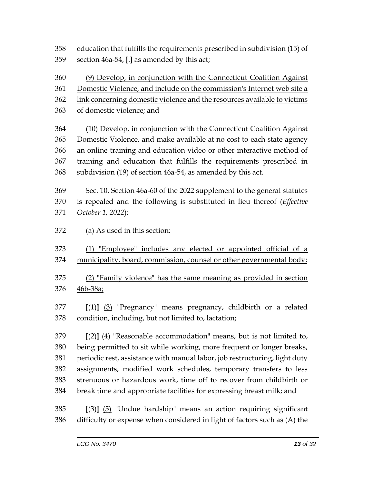education that fulfills the requirements prescribed in subdivision (15) of section 46a-54, **[**.**]** as amended by this act;

(9) Develop, in conjunction with the Connecticut Coalition Against

Domestic Violence, and include on the commission's Internet web site a

- link concerning domestic violence and the resources available to victims
- of domestic violence; and

 (10) Develop, in conjunction with the Connecticut Coalition Against Domestic Violence, and make available at no cost to each state agency an online training and education video or other interactive method of training and education that fulfills the requirements prescribed in subdivision (19) of section 46a-54, as amended by this act.

 Sec. 10. Section 46a-60 of the 2022 supplement to the general statutes is repealed and the following is substituted in lieu thereof (*Effective October 1, 2022*):

(a) As used in this section:

 (1) "Employee" includes any elected or appointed official of a municipality, board, commission, counsel or other governmental body;

 (2) "Family violence" has the same meaning as provided in section 46b-38a;

 **[**(1)**]** (3) "Pregnancy" means pregnancy, childbirth or a related condition, including, but not limited to, lactation;

 **[**(2)**]** (4) "Reasonable accommodation" means, but is not limited to, being permitted to sit while working, more frequent or longer breaks, periodic rest, assistance with manual labor, job restructuring, light duty assignments, modified work schedules, temporary transfers to less strenuous or hazardous work, time off to recover from childbirth or break time and appropriate facilities for expressing breast milk; and

 **[**(3)**]** (5) "Undue hardship" means an action requiring significant difficulty or expense when considered in light of factors such as (A) the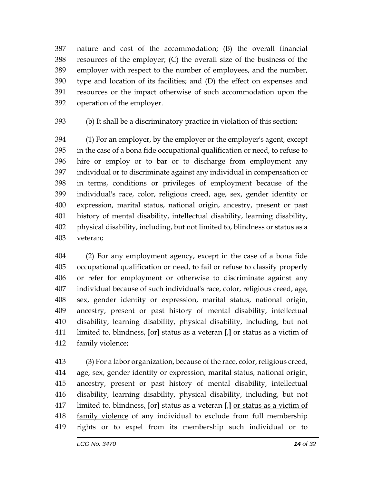nature and cost of the accommodation; (B) the overall financial resources of the employer; (C) the overall size of the business of the employer with respect to the number of employees, and the number, type and location of its facilities; and (D) the effect on expenses and resources or the impact otherwise of such accommodation upon the operation of the employer.

(b) It shall be a discriminatory practice in violation of this section:

 (1) For an employer, by the employer or the employer's agent, except in the case of a bona fide occupational qualification or need, to refuse to hire or employ or to bar or to discharge from employment any individual or to discriminate against any individual in compensation or in terms, conditions or privileges of employment because of the individual's race, color, religious creed, age, sex, gender identity or expression, marital status, national origin, ancestry, present or past history of mental disability, intellectual disability, learning disability, physical disability, including, but not limited to, blindness or status as a veteran;

 (2) For any employment agency, except in the case of a bona fide occupational qualification or need, to fail or refuse to classify properly or refer for employment or otherwise to discriminate against any individual because of such individual's race, color, religious creed, age, sex, gender identity or expression, marital status, national origin, ancestry, present or past history of mental disability, intellectual disability, learning disability, physical disability, including, but not limited to, blindness, **[**or**]** status as a veteran **[**,**]** or status as a victim of family violence;

 (3) For a labor organization, because of the race, color, religious creed, age, sex, gender identity or expression, marital status, national origin, ancestry, present or past history of mental disability, intellectual disability, learning disability, physical disability, including, but not limited to, blindness, **[**or**]** status as a veteran **[**,**]** or status as a victim of family violence of any individual to exclude from full membership rights or to expel from its membership such individual or to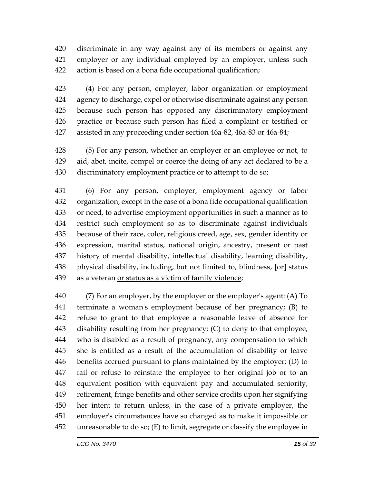discriminate in any way against any of its members or against any employer or any individual employed by an employer, unless such action is based on a bona fide occupational qualification;

 (4) For any person, employer, labor organization or employment agency to discharge, expel or otherwise discriminate against any person because such person has opposed any discriminatory employment practice or because such person has filed a complaint or testified or assisted in any proceeding under section 46a-82, 46a-83 or 46a-84;

 (5) For any person, whether an employer or an employee or not, to aid, abet, incite, compel or coerce the doing of any act declared to be a discriminatory employment practice or to attempt to do so;

 (6) For any person, employer, employment agency or labor organization, except in the case of a bona fide occupational qualification or need, to advertise employment opportunities in such a manner as to restrict such employment so as to discriminate against individuals because of their race, color, religious creed, age, sex, gender identity or expression, marital status, national origin, ancestry, present or past history of mental disability, intellectual disability, learning disability, physical disability, including, but not limited to, blindness, **[**or**]** status as a veteran or status as a victim of family violence;

 (7) For an employer, by the employer or the employer's agent: (A) To terminate a woman's employment because of her pregnancy; (B) to refuse to grant to that employee a reasonable leave of absence for disability resulting from her pregnancy; (C) to deny to that employee, who is disabled as a result of pregnancy, any compensation to which she is entitled as a result of the accumulation of disability or leave benefits accrued pursuant to plans maintained by the employer; (D) to fail or refuse to reinstate the employee to her original job or to an equivalent position with equivalent pay and accumulated seniority, retirement, fringe benefits and other service credits upon her signifying her intent to return unless, in the case of a private employer, the employer's circumstances have so changed as to make it impossible or unreasonable to do so; (E) to limit, segregate or classify the employee in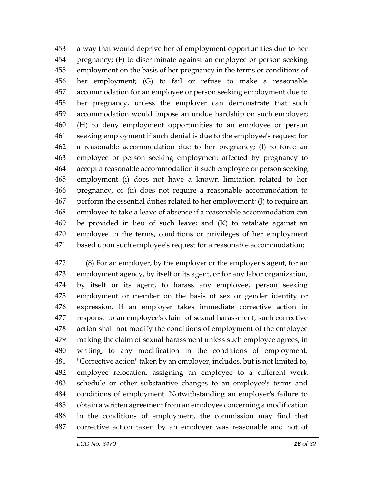a way that would deprive her of employment opportunities due to her pregnancy; (F) to discriminate against an employee or person seeking employment on the basis of her pregnancy in the terms or conditions of her employment; (G) to fail or refuse to make a reasonable accommodation for an employee or person seeking employment due to her pregnancy, unless the employer can demonstrate that such accommodation would impose an undue hardship on such employer; (H) to deny employment opportunities to an employee or person seeking employment if such denial is due to the employee's request for a reasonable accommodation due to her pregnancy; (I) to force an employee or person seeking employment affected by pregnancy to accept a reasonable accommodation if such employee or person seeking employment (i) does not have a known limitation related to her pregnancy, or (ii) does not require a reasonable accommodation to perform the essential duties related to her employment; (J) to require an employee to take a leave of absence if a reasonable accommodation can be provided in lieu of such leave; and (K) to retaliate against an employee in the terms, conditions or privileges of her employment based upon such employee's request for a reasonable accommodation;

 (8) For an employer, by the employer or the employer's agent, for an employment agency, by itself or its agent, or for any labor organization, by itself or its agent, to harass any employee, person seeking employment or member on the basis of sex or gender identity or expression. If an employer takes immediate corrective action in response to an employee's claim of sexual harassment, such corrective action shall not modify the conditions of employment of the employee making the claim of sexual harassment unless such employee agrees, in writing, to any modification in the conditions of employment. "Corrective action" taken by an employer, includes, but is not limited to, employee relocation, assigning an employee to a different work schedule or other substantive changes to an employee's terms and conditions of employment. Notwithstanding an employer's failure to obtain a written agreement from an employee concerning a modification in the conditions of employment, the commission may find that corrective action taken by an employer was reasonable and not of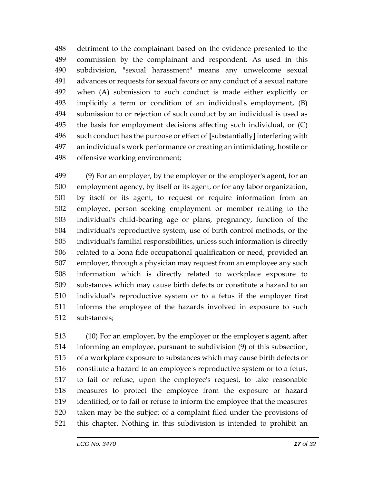detriment to the complainant based on the evidence presented to the commission by the complainant and respondent. As used in this subdivision, "sexual harassment" means any unwelcome sexual advances or requests for sexual favors or any conduct of a sexual nature when (A) submission to such conduct is made either explicitly or implicitly a term or condition of an individual's employment, (B) submission to or rejection of such conduct by an individual is used as the basis for employment decisions affecting such individual, or (C) such conduct has the purpose or effect of **[**substantially**]** interfering with an individual's work performance or creating an intimidating, hostile or offensive working environment;

 (9) For an employer, by the employer or the employer's agent, for an employment agency, by itself or its agent, or for any labor organization, by itself or its agent, to request or require information from an employee, person seeking employment or member relating to the individual's child-bearing age or plans, pregnancy, function of the individual's reproductive system, use of birth control methods, or the individual's familial responsibilities, unless such information is directly related to a bona fide occupational qualification or need, provided an employer, through a physician may request from an employee any such information which is directly related to workplace exposure to substances which may cause birth defects or constitute a hazard to an individual's reproductive system or to a fetus if the employer first informs the employee of the hazards involved in exposure to such substances;

 (10) For an employer, by the employer or the employer's agent, after informing an employee, pursuant to subdivision (9) of this subsection, of a workplace exposure to substances which may cause birth defects or constitute a hazard to an employee's reproductive system or to a fetus, to fail or refuse, upon the employee's request, to take reasonable measures to protect the employee from the exposure or hazard identified, or to fail or refuse to inform the employee that the measures taken may be the subject of a complaint filed under the provisions of this chapter. Nothing in this subdivision is intended to prohibit an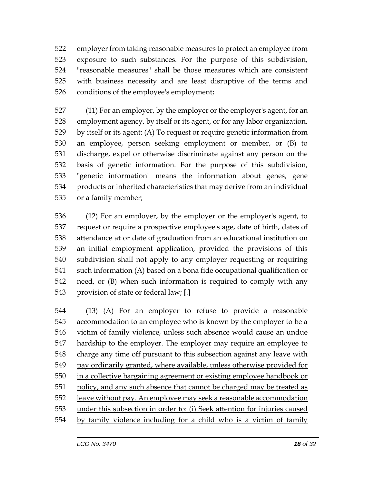employer from taking reasonable measures to protect an employee from exposure to such substances. For the purpose of this subdivision, "reasonable measures" shall be those measures which are consistent with business necessity and are least disruptive of the terms and 526 conditions of the employee's employment;

 (11) For an employer, by the employer or the employer's agent, for an employment agency, by itself or its agent, or for any labor organization, by itself or its agent: (A) To request or require genetic information from an employee, person seeking employment or member, or (B) to discharge, expel or otherwise discriminate against any person on the basis of genetic information. For the purpose of this subdivision, "genetic information" means the information about genes, gene products or inherited characteristics that may derive from an individual or a family member;

 (12) For an employer, by the employer or the employer's agent, to request or require a prospective employee's age, date of birth, dates of attendance at or date of graduation from an educational institution on an initial employment application, provided the provisions of this subdivision shall not apply to any employer requesting or requiring such information (A) based on a bona fide occupational qualification or need, or (B) when such information is required to comply with any provision of state or federal law; **[**.**]**

 (13) (A) For an employer to refuse to provide a reasonable 545 accommodation to an employee who is known by the employer to be a victim of family violence, unless such absence would cause an undue hardship to the employer. The employer may require an employee to 548 charge any time off pursuant to this subsection against any leave with pay ordinarily granted, where available, unless otherwise provided for in a collective bargaining agreement or existing employee handbook or policy, and any such absence that cannot be charged may be treated as leave without pay. An employee may seek a reasonable accommodation under this subsection in order to: (i) Seek attention for injuries caused by family violence including for a child who is a victim of family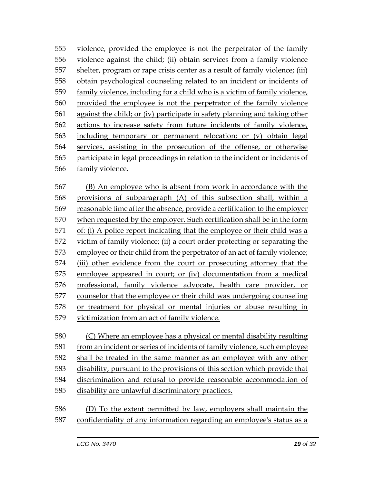violence, provided the employee is not the perpetrator of the family violence against the child; (ii) obtain services from a family violence shelter, program or rape crisis center as a result of family violence; (iii) obtain psychological counseling related to an incident or incidents of family violence, including for a child who is a victim of family violence, provided the employee is not the perpetrator of the family violence against the child; or (iv) participate in safety planning and taking other actions to increase safety from future incidents of family violence, including temporary or permanent relocation; or (v) obtain legal services, assisting in the prosecution of the offense, or otherwise participate in legal proceedings in relation to the incident or incidents of family violence.

 (B) An employee who is absent from work in accordance with the provisions of subparagraph (A) of this subsection shall, within a reasonable time after the absence, provide a certification to the employer when requested by the employer. Such certification shall be in the form of: (i) A police report indicating that the employee or their child was a victim of family violence; (ii) a court order protecting or separating the employee or their child from the perpetrator of an act of family violence; (iii) other evidence from the court or prosecuting attorney that the employee appeared in court; or (iv) documentation from a medical professional, family violence advocate, health care provider, or counselor that the employee or their child was undergoing counseling or treatment for physical or mental injuries or abuse resulting in victimization from an act of family violence.

 (C) Where an employee has a physical or mental disability resulting from an incident or series of incidents of family violence, such employee shall be treated in the same manner as an employee with any other disability, pursuant to the provisions of this section which provide that discrimination and refusal to provide reasonable accommodation of disability are unlawful discriminatory practices.

 (D) To the extent permitted by law, employers shall maintain the confidentiality of any information regarding an employee's status as a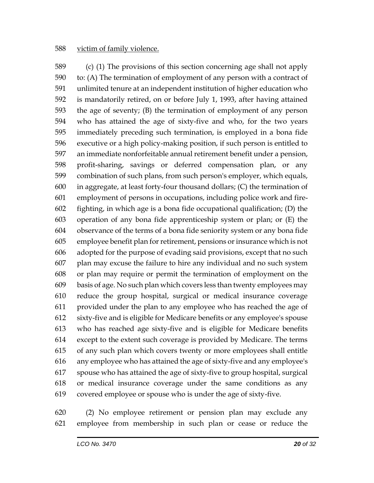#### victim of family violence.

 (c) (1) The provisions of this section concerning age shall not apply to: (A) The termination of employment of any person with a contract of unlimited tenure at an independent institution of higher education who is mandatorily retired, on or before July 1, 1993, after having attained the age of seventy; (B) the termination of employment of any person who has attained the age of sixty-five and who, for the two years immediately preceding such termination, is employed in a bona fide executive or a high policy-making position, if such person is entitled to an immediate nonforfeitable annual retirement benefit under a pension, profit-sharing, savings or deferred compensation plan, or any combination of such plans, from such person's employer, which equals, in aggregate, at least forty-four thousand dollars; (C) the termination of employment of persons in occupations, including police work and fire- fighting, in which age is a bona fide occupational qualification; (D) the operation of any bona fide apprenticeship system or plan; or (E) the observance of the terms of a bona fide seniority system or any bona fide employee benefit plan for retirement, pensions or insurance which is not adopted for the purpose of evading said provisions, except that no such plan may excuse the failure to hire any individual and no such system or plan may require or permit the termination of employment on the basis of age. No such plan which covers less than twenty employees may reduce the group hospital, surgical or medical insurance coverage provided under the plan to any employee who has reached the age of sixty-five and is eligible for Medicare benefits or any employee's spouse who has reached age sixty-five and is eligible for Medicare benefits except to the extent such coverage is provided by Medicare. The terms of any such plan which covers twenty or more employees shall entitle any employee who has attained the age of sixty-five and any employee's spouse who has attained the age of sixty-five to group hospital, surgical or medical insurance coverage under the same conditions as any covered employee or spouse who is under the age of sixty-five.

 (2) No employee retirement or pension plan may exclude any employee from membership in such plan or cease or reduce the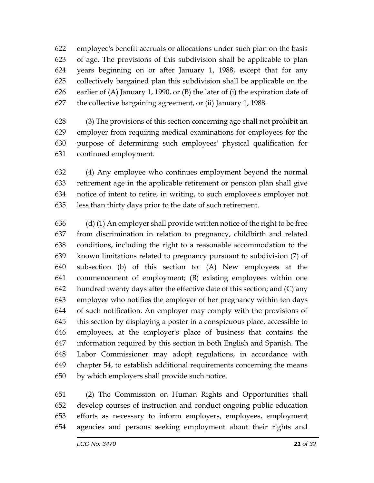employee's benefit accruals or allocations under such plan on the basis of age. The provisions of this subdivision shall be applicable to plan years beginning on or after January 1, 1988, except that for any collectively bargained plan this subdivision shall be applicable on the earlier of (A) January 1, 1990, or (B) the later of (i) the expiration date of the collective bargaining agreement, or (ii) January 1, 1988.

 (3) The provisions of this section concerning age shall not prohibit an employer from requiring medical examinations for employees for the purpose of determining such employees' physical qualification for continued employment.

 (4) Any employee who continues employment beyond the normal retirement age in the applicable retirement or pension plan shall give notice of intent to retire, in writing, to such employee's employer not less than thirty days prior to the date of such retirement.

 (d) (1) An employer shall provide written notice of the right to be free from discrimination in relation to pregnancy, childbirth and related conditions, including the right to a reasonable accommodation to the known limitations related to pregnancy pursuant to subdivision (7) of subsection (b) of this section to: (A) New employees at the commencement of employment; (B) existing employees within one hundred twenty days after the effective date of this section; and (C) any employee who notifies the employer of her pregnancy within ten days of such notification. An employer may comply with the provisions of this section by displaying a poster in a conspicuous place, accessible to employees, at the employer's place of business that contains the information required by this section in both English and Spanish. The Labor Commissioner may adopt regulations, in accordance with chapter 54, to establish additional requirements concerning the means by which employers shall provide such notice.

 (2) The Commission on Human Rights and Opportunities shall develop courses of instruction and conduct ongoing public education efforts as necessary to inform employers, employees, employment agencies and persons seeking employment about their rights and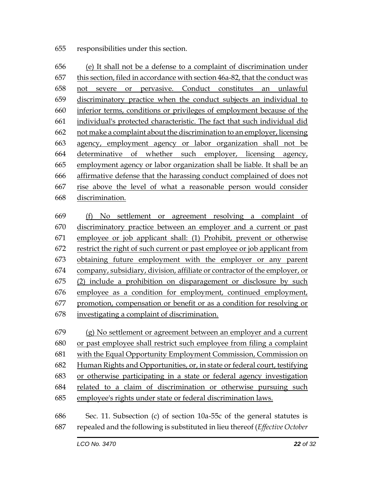#### responsibilities under this section.

 (e) It shall not be a defense to a complaint of discrimination under this section, filed in accordance with section 46a-82, that the conduct was not severe or pervasive. Conduct constitutes an unlawful discriminatory practice when the conduct subjects an individual to inferior terms, conditions or privileges of employment because of the individual's protected characteristic. The fact that such individual did not make a complaint about the discrimination to an employer, licensing agency, employment agency or labor organization shall not be determinative of whether such employer, licensing agency, employment agency or labor organization shall be liable. It shall be an affirmative defense that the harassing conduct complained of does not rise above the level of what a reasonable person would consider discrimination.

 (f) No settlement or agreement resolving a complaint of discriminatory practice between an employer and a current or past employee or job applicant shall: (1) Prohibit, prevent or otherwise restrict the right of such current or past employee or job applicant from obtaining future employment with the employer or any parent company, subsidiary, division, affiliate or contractor of the employer, or (2) include a prohibition on disparagement or disclosure by such employee as a condition for employment, continued employment, promotion, compensation or benefit or as a condition for resolving or investigating a complaint of discrimination.

 (g) No settlement or agreement between an employer and a current or past employee shall restrict such employee from filing a complaint with the Equal Opportunity Employment Commission, Commission on Human Rights and Opportunities, or, in state or federal court, testifying or otherwise participating in a state or federal agency investigation related to a claim of discrimination or otherwise pursuing such employee's rights under state or federal discrimination laws.

 Sec. 11. Subsection (c) of section 10a-55c of the general statutes is repealed and the following is substituted in lieu thereof (*Effective October*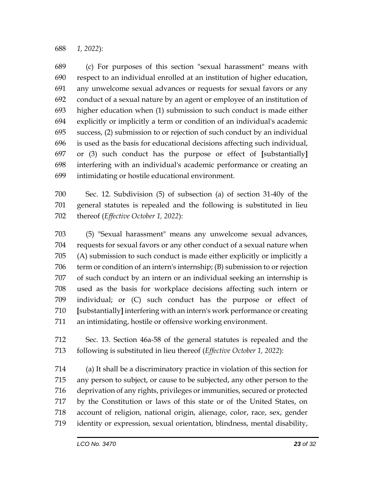*1, 2022*):

 (c) For purposes of this section "sexual harassment" means with respect to an individual enrolled at an institution of higher education, any unwelcome sexual advances or requests for sexual favors or any conduct of a sexual nature by an agent or employee of an institution of higher education when (1) submission to such conduct is made either explicitly or implicitly a term or condition of an individual's academic success, (2) submission to or rejection of such conduct by an individual is used as the basis for educational decisions affecting such individual, or (3) such conduct has the purpose or effect of **[**substantially**]** interfering with an individual's academic performance or creating an intimidating or hostile educational environment.

 Sec. 12. Subdivision (5) of subsection (a) of section 31-40y of the general statutes is repealed and the following is substituted in lieu thereof (*Effective October 1, 2022*):

 (5) "Sexual harassment" means any unwelcome sexual advances, requests for sexual favors or any other conduct of a sexual nature when (A) submission to such conduct is made either explicitly or implicitly a term or condition of an intern's internship; (B) submission to or rejection of such conduct by an intern or an individual seeking an internship is used as the basis for workplace decisions affecting such intern or individual; or (C) such conduct has the purpose or effect of **[**substantially**]** interfering with an intern's work performance or creating an intimidating, hostile or offensive working environment.

 Sec. 13. Section 46a-58 of the general statutes is repealed and the following is substituted in lieu thereof (*Effective October 1, 2022*):

 (a) It shall be a discriminatory practice in violation of this section for any person to subject, or cause to be subjected, any other person to the deprivation of any rights, privileges or immunities, secured or protected by the Constitution or laws of this state or of the United States, on account of religion, national origin, alienage, color, race, sex, gender identity or expression, sexual orientation, blindness, mental disability,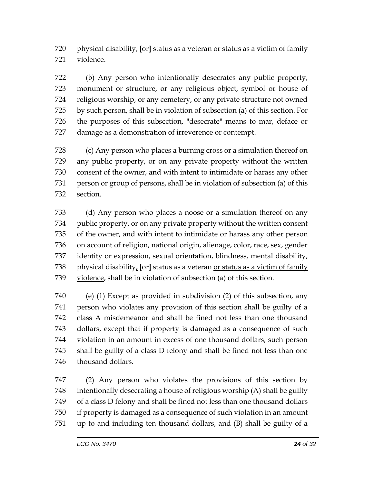physical disability, **[**or**]** status as a veteran or status as a victim of family violence.

 (b) Any person who intentionally desecrates any public property, monument or structure, or any religious object, symbol or house of religious worship, or any cemetery, or any private structure not owned by such person, shall be in violation of subsection (a) of this section. For the purposes of this subsection, "desecrate" means to mar, deface or damage as a demonstration of irreverence or contempt.

 (c) Any person who places a burning cross or a simulation thereof on any public property, or on any private property without the written consent of the owner, and with intent to intimidate or harass any other person or group of persons, shall be in violation of subsection (a) of this section.

 (d) Any person who places a noose or a simulation thereof on any public property, or on any private property without the written consent of the owner, and with intent to intimidate or harass any other person on account of religion, national origin, alienage, color, race, sex, gender identity or expression, sexual orientation, blindness, mental disability, physical disability, **[**or**]** status as a veteran or status as a victim of family violence, shall be in violation of subsection (a) of this section.

 (e) (1) Except as provided in subdivision (2) of this subsection, any person who violates any provision of this section shall be guilty of a class A misdemeanor and shall be fined not less than one thousand dollars, except that if property is damaged as a consequence of such violation in an amount in excess of one thousand dollars, such person shall be guilty of a class D felony and shall be fined not less than one thousand dollars.

 (2) Any person who violates the provisions of this section by intentionally desecrating a house of religious worship (A) shall be guilty of a class D felony and shall be fined not less than one thousand dollars if property is damaged as a consequence of such violation in an amount up to and including ten thousand dollars, and (B) shall be guilty of a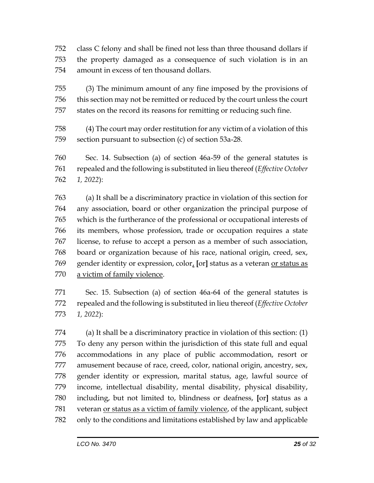class C felony and shall be fined not less than three thousand dollars if the property damaged as a consequence of such violation is in an amount in excess of ten thousand dollars.

 (3) The minimum amount of any fine imposed by the provisions of this section may not be remitted or reduced by the court unless the court states on the record its reasons for remitting or reducing such fine.

 (4) The court may order restitution for any victim of a violation of this section pursuant to subsection (c) of section 53a-28.

 Sec. 14. Subsection (a) of section 46a-59 of the general statutes is repealed and the following is substituted in lieu thereof (*Effective October 1, 2022*):

 (a) It shall be a discriminatory practice in violation of this section for any association, board or other organization the principal purpose of which is the furtherance of the professional or occupational interests of its members, whose profession, trade or occupation requires a state license, to refuse to accept a person as a member of such association, board or organization because of his race, national origin, creed, sex, gender identity or expression, color, **[**or**]** status as a veteran or status as a victim of family violence.

 Sec. 15. Subsection (a) of section 46a-64 of the general statutes is repealed and the following is substituted in lieu thereof (*Effective October 1, 2022*):

 (a) It shall be a discriminatory practice in violation of this section: (1) To deny any person within the jurisdiction of this state full and equal accommodations in any place of public accommodation, resort or amusement because of race, creed, color, national origin, ancestry, sex, gender identity or expression, marital status, age, lawful source of income, intellectual disability, mental disability, physical disability, including, but not limited to, blindness or deafness, **[**or**]** status as a veteran or status as a victim of family violence, of the applicant, subject only to the conditions and limitations established by law and applicable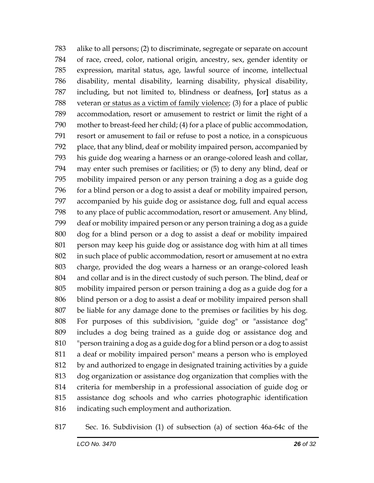alike to all persons; (2) to discriminate, segregate or separate on account of race, creed, color, national origin, ancestry, sex, gender identity or expression, marital status, age, lawful source of income, intellectual disability, mental disability, learning disability, physical disability, including, but not limited to, blindness or deafness, **[**or**]** status as a veteran or status as a victim of family violence; (3) for a place of public accommodation, resort or amusement to restrict or limit the right of a mother to breast-feed her child; (4) for a place of public accommodation, resort or amusement to fail or refuse to post a notice, in a conspicuous place, that any blind, deaf or mobility impaired person, accompanied by his guide dog wearing a harness or an orange-colored leash and collar, may enter such premises or facilities; or (5) to deny any blind, deaf or mobility impaired person or any person training a dog as a guide dog for a blind person or a dog to assist a deaf or mobility impaired person, accompanied by his guide dog or assistance dog, full and equal access to any place of public accommodation, resort or amusement. Any blind, deaf or mobility impaired person or any person training a dog as a guide dog for a blind person or a dog to assist a deaf or mobility impaired person may keep his guide dog or assistance dog with him at all times in such place of public accommodation, resort or amusement at no extra charge, provided the dog wears a harness or an orange-colored leash and collar and is in the direct custody of such person. The blind, deaf or mobility impaired person or person training a dog as a guide dog for a blind person or a dog to assist a deaf or mobility impaired person shall be liable for any damage done to the premises or facilities by his dog. For purposes of this subdivision, "guide dog" or "assistance dog" includes a dog being trained as a guide dog or assistance dog and "person training a dog as a guide dog for a blind person or a dog to assist a deaf or mobility impaired person" means a person who is employed by and authorized to engage in designated training activities by a guide dog organization or assistance dog organization that complies with the criteria for membership in a professional association of guide dog or assistance dog schools and who carries photographic identification indicating such employment and authorization.

Sec. 16. Subdivision (1) of subsection (a) of section 46a-64c of the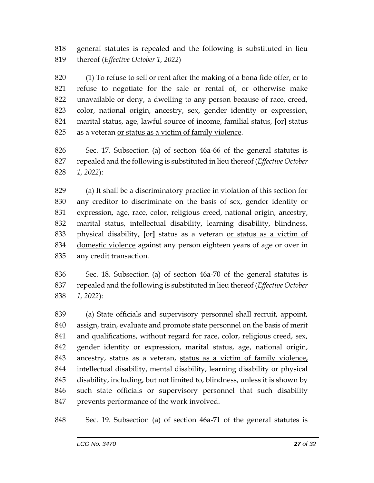general statutes is repealed and the following is substituted in lieu thereof (*Effective October 1, 2022*)

 (1) To refuse to sell or rent after the making of a bona fide offer, or to refuse to negotiate for the sale or rental of, or otherwise make unavailable or deny, a dwelling to any person because of race, creed, color, national origin, ancestry, sex, gender identity or expression, marital status, age, lawful source of income, familial status, **[**or**]** status as a veteran or status as a victim of family violence.

 Sec. 17. Subsection (a) of section 46a-66 of the general statutes is repealed and the following is substituted in lieu thereof (*Effective October 1, 2022*):

 (a) It shall be a discriminatory practice in violation of this section for any creditor to discriminate on the basis of sex, gender identity or expression, age, race, color, religious creed, national origin, ancestry, marital status, intellectual disability, learning disability, blindness, physical disability, **[**or**]** status as a veteran or status as a victim of domestic violence against any person eighteen years of age or over in any credit transaction.

 Sec. 18. Subsection (a) of section 46a-70 of the general statutes is repealed and the following is substituted in lieu thereof (*Effective October 1, 2022*):

 (a) State officials and supervisory personnel shall recruit, appoint, assign, train, evaluate and promote state personnel on the basis of merit and qualifications, without regard for race, color, religious creed, sex, gender identity or expression, marital status, age, national origin, 843 ancestry, status as a veteran, status as a victim of family violence, intellectual disability, mental disability, learning disability or physical disability, including, but not limited to, blindness, unless it is shown by such state officials or supervisory personnel that such disability prevents performance of the work involved.

Sec. 19. Subsection (a) of section 46a-71 of the general statutes is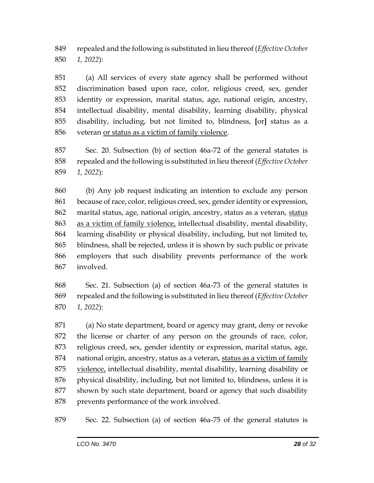repealed and the following is substituted in lieu thereof (*Effective October 1, 2022*):

 (a) All services of every state agency shall be performed without discrimination based upon race, color, religious creed, sex, gender identity or expression, marital status, age, national origin, ancestry, intellectual disability, mental disability, learning disability, physical disability, including, but not limited to, blindness, **[**or**]** status as a veteran or status as a victim of family violence.

 Sec. 20. Subsection (b) of section 46a-72 of the general statutes is repealed and the following is substituted in lieu thereof (*Effective October 1, 2022*):

 (b) Any job request indicating an intention to exclude any person because of race, color, religious creed, sex, gender identity or expression, 862 marital status, age, national origin, ancestry, status as a veteran, status as a victim of family violence, intellectual disability, mental disability, learning disability or physical disability, including, but not limited to, blindness, shall be rejected, unless it is shown by such public or private employers that such disability prevents performance of the work involved.

 Sec. 21. Subsection (a) of section 46a-73 of the general statutes is repealed and the following is substituted in lieu thereof (*Effective October 1, 2022*):

 (a) No state department, board or agency may grant, deny or revoke the license or charter of any person on the grounds of race, color, religious creed, sex, gender identity or expression, marital status, age, national origin, ancestry, status as a veteran, status as a victim of family violence, intellectual disability, mental disability, learning disability or physical disability, including, but not limited to, blindness, unless it is shown by such state department, board or agency that such disability prevents performance of the work involved.

Sec. 22. Subsection (a) of section 46a-75 of the general statutes is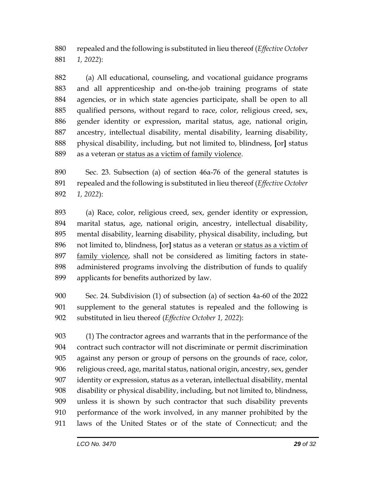repealed and the following is substituted in lieu thereof (*Effective October 1, 2022*):

 (a) All educational, counseling, and vocational guidance programs and all apprenticeship and on-the-job training programs of state agencies, or in which state agencies participate, shall be open to all qualified persons, without regard to race, color, religious creed, sex, gender identity or expression, marital status, age, national origin, ancestry, intellectual disability, mental disability, learning disability, physical disability, including, but not limited to, blindness, **[**or**]** status as a veteran or status as a victim of family violence.

 Sec. 23. Subsection (a) of section 46a-76 of the general statutes is repealed and the following is substituted in lieu thereof (*Effective October 1, 2022*):

 (a) Race, color, religious creed, sex, gender identity or expression, marital status, age, national origin, ancestry, intellectual disability, mental disability, learning disability, physical disability, including, but not limited to, blindness, **[**or**]** status as a veteran or status as a victim of family violence, shall not be considered as limiting factors in state- administered programs involving the distribution of funds to qualify applicants for benefits authorized by law.

 Sec. 24. Subdivision (1) of subsection (a) of section 4a-60 of the 2022 supplement to the general statutes is repealed and the following is substituted in lieu thereof (*Effective October 1, 2022*):

 (1) The contractor agrees and warrants that in the performance of the contract such contractor will not discriminate or permit discrimination against any person or group of persons on the grounds of race, color, religious creed, age, marital status, national origin, ancestry, sex, gender identity or expression, status as a veteran, intellectual disability, mental disability or physical disability, including, but not limited to, blindness, unless it is shown by such contractor that such disability prevents performance of the work involved, in any manner prohibited by the laws of the United States or of the state of Connecticut; and the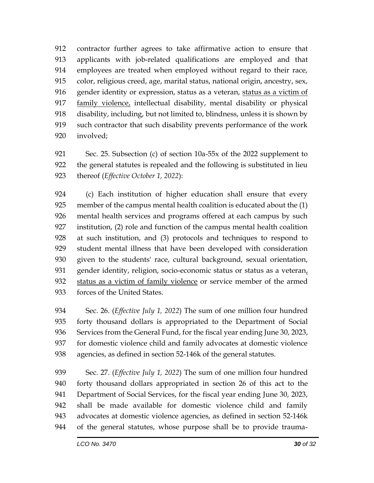contractor further agrees to take affirmative action to ensure that applicants with job-related qualifications are employed and that employees are treated when employed without regard to their race, color, religious creed, age, marital status, national origin, ancestry, sex, gender identity or expression, status as a veteran, status as a victim of family violence, intellectual disability, mental disability or physical disability, including, but not limited to, blindness, unless it is shown by such contractor that such disability prevents performance of the work involved;

 Sec. 25. Subsection (c) of section 10a-55x of the 2022 supplement to the general statutes is repealed and the following is substituted in lieu thereof (*Effective October 1, 2022*):

 (c) Each institution of higher education shall ensure that every member of the campus mental health coalition is educated about the (1) mental health services and programs offered at each campus by such institution, (2) role and function of the campus mental health coalition at such institution, and (3) protocols and techniques to respond to student mental illness that have been developed with consideration given to the students' race, cultural background, sexual orientation, 931 gender identity, religion, socio-economic status or status as a veteran, status as a victim of family violence or service member of the armed forces of the United States.

 Sec. 26. (*Effective July 1, 2022*) The sum of one million four hundred forty thousand dollars is appropriated to the Department of Social Services from the General Fund, for the fiscal year ending June 30, 2023, for domestic violence child and family advocates at domestic violence agencies, as defined in section 52-146k of the general statutes.

 Sec. 27. (*Effective July 1, 2022*) The sum of one million four hundred forty thousand dollars appropriated in section 26 of this act to the Department of Social Services, for the fiscal year ending June 30, 2023, shall be made available for domestic violence child and family advocates at domestic violence agencies, as defined in section 52-146k of the general statutes, whose purpose shall be to provide trauma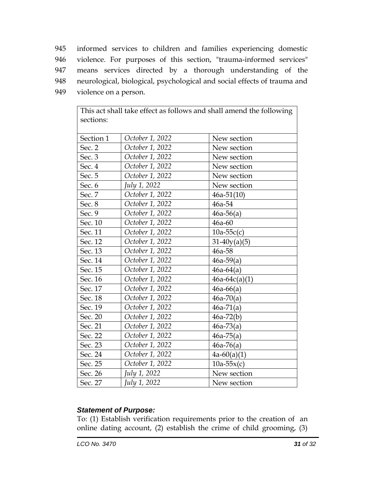informed services to children and families experiencing domestic violence. For purposes of this section, "trauma-informed services" means services directed by a thorough understanding of the neurological, biological, psychological and social effects of trauma and violence on a person.

| sections: |                 | This act shall take effect as follows and shall amend the following |
|-----------|-----------------|---------------------------------------------------------------------|
| Section 1 | October 1, 2022 | New section                                                         |
| Sec. 2    | October 1, 2022 | New section                                                         |
| Sec. $3$  | October 1, 2022 | New section                                                         |
| Sec. 4    | October 1, 2022 | New section                                                         |
| Sec. 5    | October 1, 2022 | New section                                                         |
| Sec. 6    | July 1, 2022    | New section                                                         |
| Sec. 7    | October 1, 2022 | $46a-51(10)$                                                        |
| Sec. 8    | October 1, 2022 | 46a-54                                                              |
| Sec. 9    | October 1, 2022 | $46a-56(a)$                                                         |
| Sec. 10   | October 1, 2022 | 46a-60                                                              |
| Sec. 11   | October 1, 2022 | $10a-55c(c)$                                                        |
| Sec. 12   | October 1, 2022 | $31-40y(a)(5)$                                                      |
| Sec. 13   | October 1, 2022 | 46a-58                                                              |
| Sec. 14   | October 1, 2022 | $46a-59(a)$                                                         |
| Sec. 15   | October 1, 2022 | $46a-64(a)$                                                         |
| Sec. 16   | October 1, 2022 | $46a-64c(a)(1)$                                                     |
| Sec. 17   | October 1, 2022 | $46a - 66(a)$                                                       |
| Sec. 18   | October 1, 2022 | $46a-70(a)$                                                         |
| Sec. 19   | October 1, 2022 | $46a-71(a)$                                                         |
| Sec. 20   | October 1, 2022 | $46a-72(b)$                                                         |
| Sec. 21   | October 1, 2022 | $46a-73(a)$                                                         |
| Sec. 22   | October 1, 2022 | $46a-75(a)$                                                         |
| Sec. 23   | October 1, 2022 | $46a-76(a)$                                                         |
| Sec. 24   | October 1, 2022 | $4a-60(a)(1)$                                                       |
| Sec. 25   | October 1, 2022 | $10a-55x(c)$                                                        |
| Sec. 26   | July 1, 2022    | New section                                                         |
| Sec. 27   | July 1, 2022    | New section                                                         |

This act shall take effect as follows and shall amend the following

## *Statement of Purpose:*

To: (1) Establish verification requirements prior to the creation of an online dating account, (2) establish the crime of child grooming, (3)